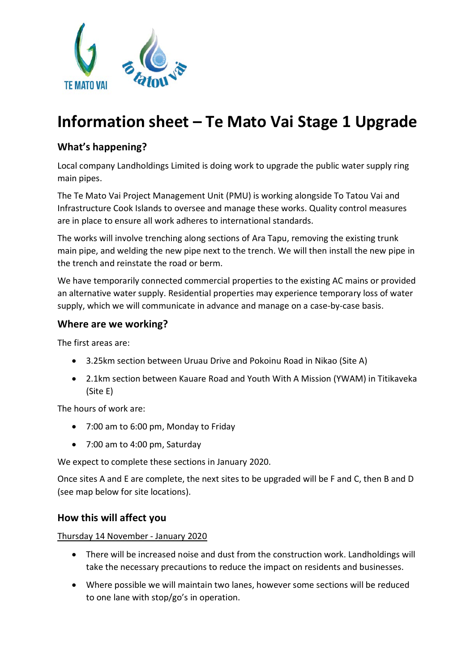

# **Information sheet – Te Mato Vai Stage 1 Upgrade**

### **What's happening?**

Local company Landholdings Limited is doing work to upgrade the public water supply ring main pipes.

The Te Mato Vai Project Management Unit (PMU) is working alongside To Tatou Vai and Infrastructure Cook Islands to oversee and manage these works. Quality control measures are in place to ensure all work adheres to international standards.

The works will involve trenching along sections of Ara Tapu, removing the existing trunk main pipe, and welding the new pipe next to the trench. We will then install the new pipe in the trench and reinstate the road or berm.

We have temporarily connected commercial properties to the existing AC mains or provided an alternative water supply. Residential properties may experience temporary loss of water supply, which we will communicate in advance and manage on a case-by-case basis.

#### **Where are we working?**

The first areas are:

- 3.25km section between Uruau Drive and Pokoinu Road in Nikao (Site A)
- 2.1km section between Kauare Road and Youth With A Mission (YWAM) in Titikaveka (Site E)

The hours of work are:

- 7:00 am to 6:00 pm, Monday to Friday
- 7:00 am to 4:00 pm, Saturday

We expect to complete these sections in January 2020.

Once sites A and E are complete, the next sites to be upgraded will be F and C, then B and D (see map below for site locations).

#### **How this will affect you**

Thursday 14 November - January 2020

- There will be increased noise and dust from the construction work. Landholdings will take the necessary precautions to reduce the impact on residents and businesses.
- Where possible we will maintain two lanes, however some sections will be reduced to one lane with stop/go's in operation.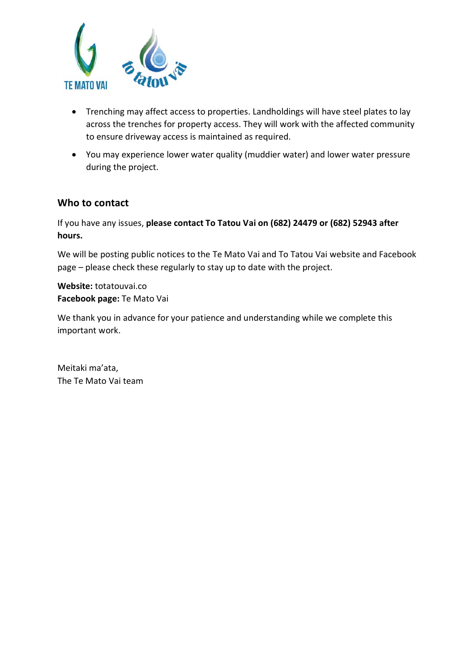

- Trenching may affect access to properties. Landholdings will have steel plates to lay across the trenches for property access. They will work with the affected community to ensure driveway access is maintained as required.
- You may experience lower water quality (muddier water) and lower water pressure during the project.

#### **Who to contact**

If you have any issues, **please contact To Tatou Vai on (682) 24479 or (682) 52943 after hours.**

We will be posting public notices to the Te Mato Vai and To Tatou Vai website and Facebook page – please check these regularly to stay up to date with the project.

**Website:** totatouvai.co **Facebook page:** Te Mato Vai

We thank you in advance for your patience and understanding while we complete this important work.

Meitaki ma'ata, The Te Mato Vai team